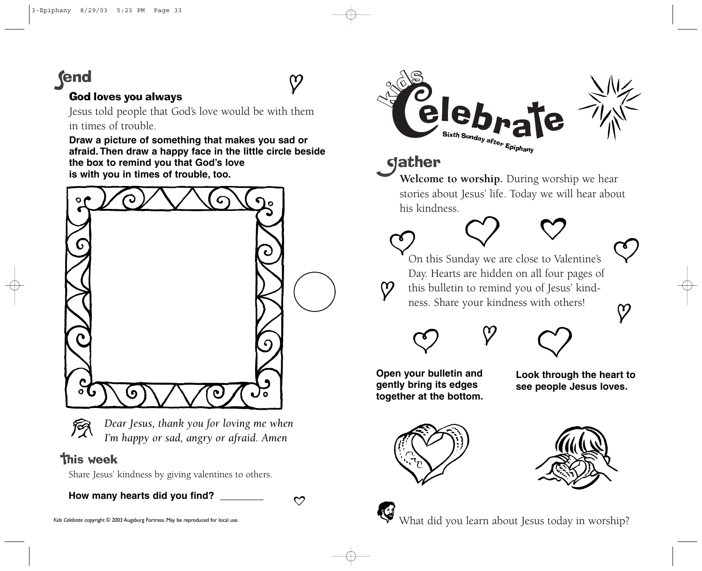# **fend**

### God loves you always

Jesus told people that God's love would be with them in times of trouble.

**Draw a picture of something that makes you sad or afraid. Then draw a happy face in the little circle beside the box to remind you that God's love is with you in times of trouble, too.**





*Dear Jesus, thank you for loving me when I'm happy or sad, angry or afraid. Amen*

## **This week**

Share Jesus' kindness by giving valentines to others.

**How many hearts did you find? \_\_\_\_\_\_\_\_**

 $\mathcal{O}$ 

 $\Omega$ 



**Welcome to worship.** During worship we hear stories about Jesus' life. Today we will hear about

# dather

his kindness.



က

On this Sunday we are close to Valentine's Day. Hearts are hidden on all four pages of this bulletin to remind you of Jesus' kindness. Share your kindness with others!



**Open your bulletin and gently bring its edges together at the bottom.** **Look through the heart to see people Jesus loves.**







What did you learn about Jesus today in worship?